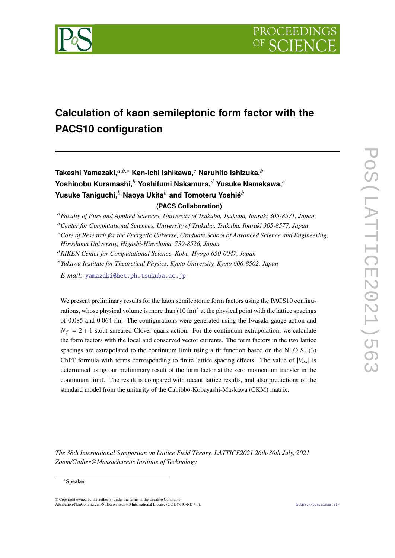

# **Calculation of kaon semileptonic form factor with the PACS10 configuration**

Takeshi Yamazaki,<sup>*a,b,∗*</sup> Ken-ichi Ishikawa,<sup>*c*</sup> Naruhito Ishizuka,<sup>*b*</sup> Yoshinobu Kuramashi,<sup>b</sup> Yoshifumi Nakamura,<sup>d</sup> Yusuke Namekawa,<sup>e</sup> **Yusuke Taniguchi, Naoya Ukita** *b* and Tomoteru Yoshié<sup>b</sup> **(PACS Collaboration)**

*Center for Computational Sciences, University of Tsukuba, Tsukuba, Ibaraki 305-8577, Japan*

*Yukawa Institute for Theoretical Physics, Kyoto University, Kyoto 606-8502, Japan*

*E-mail:* yamazaki@het.ph.tsukuba.ac.jp

We present preliminary results for the kaon semileptonic form factors using the PACS10 configurations, whose physical volume is more than  $(10 \text{ fm})^3$  at the physical point with the lattice spacings of 0.085 and 0.064 fm. The configurations were generated using the Iwasaki gauge action and  $N_f = 2 + 1$  stout-smeared Clover quark action. For the continuum extrapolation, we calculate the form factors with the local and conserved vector currents. The form factors in the two lattice spacings are extrapolated to the continuum limit using a fit function based on the NLO SU(3) ChPT formula with terms corresponding to finite lattice spacing effects. The value of  $|V_{us}|$  is determined using our preliminary result of the form factor at the zero momentum transfer in the continuum limit. The result is compared with recent lattice results, and also predictions of the standard model from the unitarity of the Cabibbo-Kobayashi-Maskawa (CKM) matrix.

*The 38th International Symposium on Lattice Field Theory, LATTICE2021 26th-30th July, 2021 Zoom/Gather@Massachusetts Institute of Technology*

© Copyright owned by the author(s) under the terms of the Creative Commons Attribution-NonCommercial-NoDerivatives 4.0 International License (CC BY-NC-ND 4.0). https://pos.sissa.it/

*Faculty of Pure and Applied Sciences, University of Tsukuba, Tsukuba, Ibaraki 305-8571, Japan*

*Core of Research for the Energetic Universe, Graduate School of Advanced Science and Engineering, Hiroshima University, Higashi-Hiroshima, 739-8526, Japan*

*RIKEN Center for Computational Science, Kobe, Hyogo 650-0047, Japan*

<sup>∗</sup>Speaker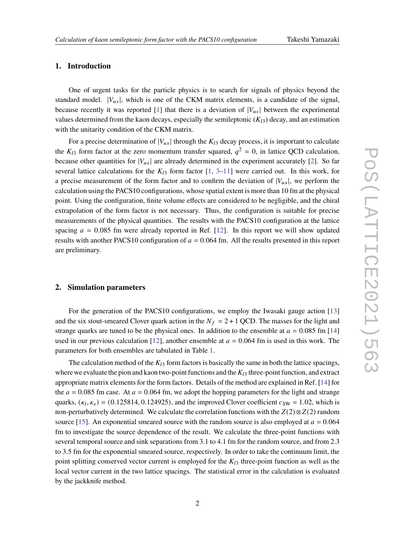## **1. Introduction**

One of urgent tasks for the particle physics is to search for signals of physics beyond the standard model.  $|V_{\mu s}|$ , which is one of the CKM matrix elements, is a candidate of the signal, because recently it was reported [1] that there is a deviation of  $|V_{us}|$  between the experimental values determined from the kaon decays, especially the semileptonic  $(K_{13})$  decay, and an estimation with the unitarity condition of the CKM matrix.

For a precise determination of  $|V_{us}|$  through the  $K_{13}$  decay process, it is important to calculate the  $K_{l3}$  form factor at the zero momentum transfer squared,  $q^2 = 0$ , in lattice QCD calculation, because other quantities for  $|V_{us}|$  are already determined in the experiment accurately [2]. So far several lattice calculations for the  $K_{13}$  form factor [1, 3–11] were carried out. In this work, for a precise measurement of the form factor and to confirm the deviation of  $|V_{us}|$ , we perform the calculation using the PACS10 configurations, whose spatial extent is more than 10 fm at the physical point. Using the configuration, finite volume effects are considered to be negligible, and the chiral extrapolation of the form factor is not necessary. Thus, the configuration is suitable for precise measurements of the physical quantities. The results with the PACS10 configuration at the lattice spacing  $a = 0.085$  fm were already reported in Ref. [12]. In this report we will show updated results with another PACS10 configuration of  $a = 0.064$  fm. All the results presented in this report are preliminary.

# **2. Simulation parameters**

For the generation of the PACS10 configurations, we employ the Iwasaki gauge action [13] and the six stout-smeared Clover quark action in the  $N_f = 2 + 1$  QCD. The masses for the light and strange quarks are tuned to be the physical ones. In addition to the ensemble at  $a = 0.085$  fm [14] used in our previous calculation [12], another ensemble at  $a = 0.064$  fm is used in this work. The parameters for both ensembles are tabulated in Table 1.

The calculation method of the  $K_{13}$  form factors is basically the same in both the lattice spacings, where we evaluate the pion and kaon two-point functions and the  $K_{13}$  three-point function, and extract appropriate matrix elements for the form factors. Details of the method are explained in Ref. [14] for the  $a = 0.085$  fm case. At  $a = 0.064$  fm, we adopt the hopping parameters for the light and strange quarks,  $(\kappa_l, \kappa_s) = (0.125814, 0.124925)$ , and the improved Clover coefficient  $c_{SW} = 1.02$ , which is non-perturbatively determined. We calculate the correlation functions with the  $Z(2) \otimes Z(2)$  random source [15]. An exponential smeared source with the random source is also employed at  $a = 0.064$ fm to investigate the source dependence of the result. We calculate the three-point functions with several temporal source and sink separations from 3.1 to 4.1 fm for the random source, and from 2.3 to 3.5 fm for the exponential smeared source, respectively. In order to take the continuum limit, the point splitting conserved vector current is employed for the  $K_{13}$  three-point function as well as the local vector current in the two lattice spacings. The statistical error in the calculation is evaluated by the jackknife method.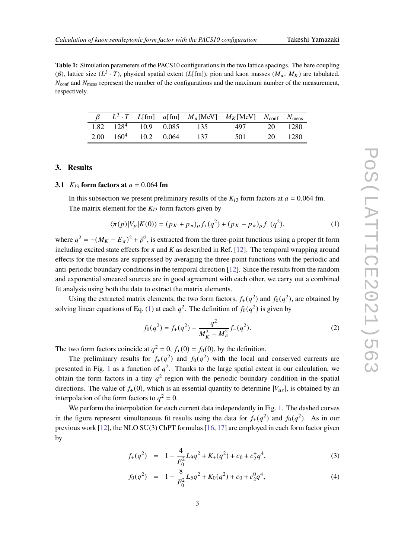**Table 1:** Simulation parameters of the PACS10 configurations in the two lattice spacings. The bare coupling ( $\beta$ ), lattice size ( $L^3 \cdot T$ ), physical spatial extent ( $L[\text{fm}]$ ), pion and kaon masses ( $M_{\pi}$ ,  $M_K$ ) are tabulated.  $N_{\text{conf}}$  and  $N_{\text{meas}}$  represent the number of the configurations and the maximum number of the measurement, respectively.

|                         |  |                                                     | $L^3 \cdot T$ L[fm] a[fm] $M_{\pi}$ [MeV] $M_K$ [MeV] $N_{\text{conf}}$ $N_{\text{meas}}$ |         |      |
|-------------------------|--|-----------------------------------------------------|-------------------------------------------------------------------------------------------|---------|------|
|                         |  | $1.82 \quad 128^4 \quad 10.9 \quad 0.085 \quad 135$ | 497                                                                                       | 20      | 1280 |
| 2.00 $160^4$ 10.2 0.064 |  | 137                                                 | 501                                                                                       | 20 1280 |      |

## **3. Results**

## **3.1**  $K_{13}$  form factors at  $a = 0.064$  fm

In this subsection we present preliminary results of the  $K_{13}$  form factors at  $a = 0.064$  fm. The matrix element for the  $K_{13}$  form factors given by

$$
\langle \pi(p)|V_{\mu}|K(0)\rangle = (p_K + p_\pi)_{\mu}f_+(q^2) + (p_K - p_\pi)_{\mu}f_-(q^2),\tag{1}
$$

where  $q^2 = -(M_K - E_\pi)^2 + \vec{p}^2$ , is extracted from the three-point functions using a proper fit form including excited state effects for  $\pi$  and K as described in Ref. [12]. The temporal wrapping around effects for the mesons are suppressed by averaging the three-point functions with the periodic and anti-periodic boundary conditions in the temporal direction [12]. Since the results from the random and exponential smeared sources are in good agreement with each other, we carry out a combined fit analysis using both the data to extract the matrix elements.

Using the extracted matrix elements, the two form factors,  $f_+(q^2)$  and  $f_0(q^2)$ , are obtained by solving linear equations of Eq. (1) at each  $q^2$ . The definition of  $f_0(q^2)$  is given by

$$
f_0(q^2) = f_+(q^2) - \frac{q^2}{M_K^2 - M_\pi^2} f_-(q^2). \tag{2}
$$

The two form factors coincide at  $q^2 = 0$ ,  $f_+(0) = f_0(0)$ , by the definition.

The preliminary results for  $f_+(q^2)$  and  $f_0(q^2)$  with the local and conserved currents are presented in Fig. 1 as a function of  $q^2$ . Thanks to the large spatial extent in our calculation, we obtain the form factors in a tiny  $q^2$  region with the periodic boundary condition in the spatial directions. The value of  $f_+(0)$ , which is an essential quantity to determine  $|V_{us}|$ , is obtained by an interpolation of the form factors to  $q^2 = 0$ .

We perform the interpolation for each current data independently in Fig. 1. The dashed curves in the figure represent simultaneous fit results using the data for  $f_+(q^2)$  and  $f_0(q^2)$ . As in our previous work [12], the NLO SU(3) ChPT formulas [16, 17] are employed in each form factor given by

$$
f_{+}(q^{2}) = 1 - \frac{4}{F_{0}^{2}}L_{9}q^{2} + K_{+}(q^{2}) + c_{0} + c_{2}^{+}q^{4}, \qquad (3)
$$

$$
f_0(q^2) = 1 - \frac{8}{F_0^2} L_5 q^2 + K_0(q^2) + c_0 + c_2^0 q^4,
$$
 (4)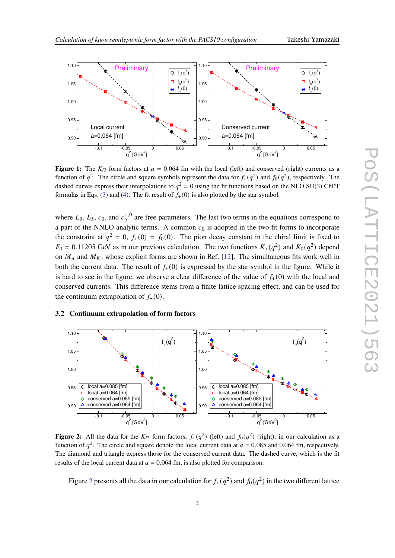

**Figure 1:** The  $K_{13}$  form factors at  $a = 0.064$  fm with the local (left) and conserved (right) currents as a function of  $q^2$ . The circle and square symbols represent the data for  $f_+(q^2)$  and  $f_0(q^2)$ , respectively. The dashed curves express their interpolations to  $q^2 = 0$  using the fit functions based on the NLO SU(3) ChPT formulas in Eqs. (3) and (4). The fit result of  $f_{+}(0)$  is also plotted by the star symbol.

where  $L_9$ ,  $L_5$ ,  $c_0$ , and  $c_2^{+,0}$  are free parameters. The last two terms in the equations correspond to a part of the NNLO analytic terms. A common  $c_0$  is adopted in the two fit forms to incorporate the constraint at  $q^2 = 0$ ,  $f_+(0) = f_0(0)$ . The pion decay constant in the chiral limit is fixed to  $F_0 = 0.11205$  GeV as in our previous calculation. The two functions  $K_+(q^2)$  and  $K_0(q^2)$  depend on  $M_{\pi}$  and  $M_K$ , whose explicit forms are shown in Ref. [12]. The simultaneous fits work well in both the current data. The result of  $f_{+}(0)$  is expressed by the star symbol in the figure. While it is hard to see in the figure, we observe a clear difference of the value of  $f_{+}(0)$  with the local and conserved currents. This difference stems from a finite lattice spacing effect, and can be used for the continuum extrapolation of  $f_{+}(0)$ .

#### **3.2 Continuum extrapolation of form factors**



**Figure 2:** All the data for the  $K_{13}$  form factors,  $f_+(q^2)$  (left) and  $f_0(q^2)$  (right), in our calculation as a function of  $q^2$ . The circle and square denote the local current data at  $a = 0.085$  and 0.064 fm, respectively. The diamond and triangle express those for the conserved current data. The dashed curve, which is the fit results of the local current data at  $a = 0.064$  fm, is also plotted for comparison.

Figure 2 presents all the data in our calculation for  $f_+(q^2)$  and  $f_0(q^2)$  in the two different lattice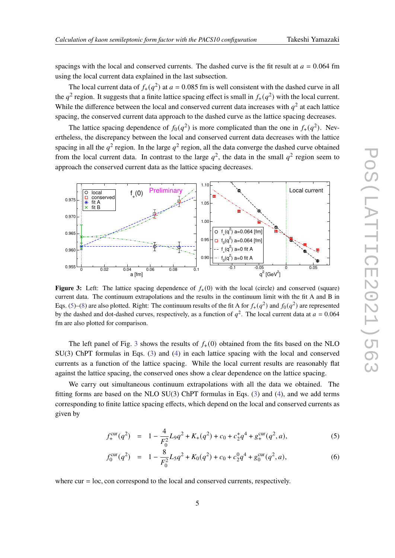spacings with the local and conserved currents. The dashed curve is the fit result at  $a = 0.064$  fm using the local current data explained in the last subsection.

The local current data of  $f_+(q^2)$  at  $a = 0.085$  fm is well consistent with the dashed curve in all the  $q^2$  region. It suggests that a finite lattice spacing effect is small in  $f_+(q^2)$  with the local current. While the difference between the local and conserved current data increases with  $q^2$  at each lattice spacing, the conserved current data approach to the dashed curve as the lattice spacing decreases.

The lattice spacing dependence of  $f_0(q^2)$  is more complicated than the one in  $f_+(q^2)$ . Nevertheless, the discrepancy between the local and conserved current data decreases with the lattice spacing in all the  $q^2$  region. In the large  $q^2$  region, all the data converge the dashed curve obtained from the local current data. In contrast to the large  $q^2$ , the data in the small  $q^2$  region seem to approach the conserved current data as the lattice spacing decreases.



**Figure 3:** Left: The lattice spacing dependence of  $f<sub>+</sub>(0)$  with the local (circle) and conserved (square) current data. The continuum extrapolations and the results in the continuum limit with the fit A and B in Eqs. (5)–(8) are also plotted. Right: The continuum results of the fit A for  $f_+(q^2)$  and  $f_0(q^2)$  are represented by the dashed and dot-dashed curves, respectively, as a function of  $q^2$ . The local current data at  $a = 0.064$ fm are also plotted for comparison.

The left panel of Fig. 3 shows the results of  $f<sub>+</sub>(0)$  obtained from the fits based on the NLO SU(3) ChPT formulas in Eqs. (3) and (4) in each lattice spacing with the local and conserved currents as a function of the lattice spacing. While the local current results are reasonably flat against the lattice spacing, the conserved ones show a clear dependence on the lattice spacing.

We carry out simultaneous continuum extrapolations with all the data we obtained. The fitting forms are based on the NLO  $SU(3)$  ChPT formulas in Eqs. (3) and (4), and we add terms corresponding to finite lattice spacing effects, which depend on the local and conserved currents as given by

$$
f_{+}^{\text{cur}}(q^2) = 1 - \frac{4}{F_0^2} L_9 q^2 + K_+(q^2) + c_0 + c_2^+ q^4 + g_{+}^{\text{cur}}(q^2, a), \tag{5}
$$

$$
f_0^{\text{cur}}(q^2) = 1 - \frac{8}{F_0^2} L_5 q^2 + K_0(q^2) + c_0 + c_2^0 q^4 + g_0^{\text{cur}}(q^2, a), \tag{6}
$$

where cur = loc, con correspond to the local and conserved currents, respectively.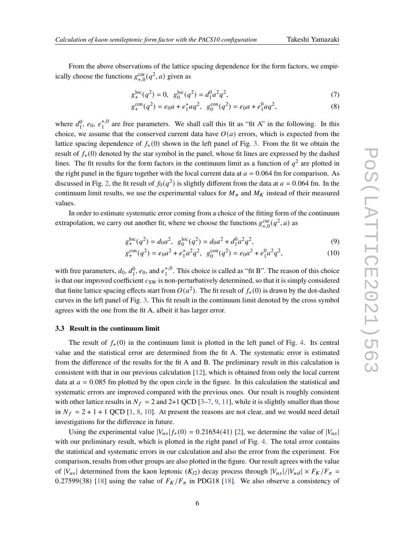From the above observations of the lattice spacing dependence for the form factors, we empirically choose the functions  $g_{+,0}^{\text{cur}}(q^2, a)$  given as

$$
g_{+}^{loc}(q^2) = 0, \ g_0^{loc}(q^2) = d_1^0 a^2 q^2,
$$
\n(7)

$$
g_{+}^{\text{con}}(q^2) = e_0 a + e_1^+ a q^2, \ \ g_0^{\text{con}}(q^2) = e_0 a + e_1^0 a q^2,\tag{8}
$$

where  $d_1^0$ ,  $e_0$ ,  $e_1^{+,0}$  are free parameters. We shall call this fit as "fit A" in the following. In this choice, we assume that the conserved current data have  $O(a)$  errors, which is expected from the lattice spacing dependence of  $f_{+}(0)$  shown in the left panel of Fig. 3. From the fit we obtain the result of  $f_{+}(0)$  denoted by the star symbol in the panel, whose fit lines are expressed by the dashed lines. The fit results for the form factors in the continuum limit as a function of  $q^2$  are plotted in the right panel in the figure together with the local current data at  $a = 0.064$  fm for comparison. As discussed in Fig. 2, the fit result of  $f_0(q^2)$  is slightly different from the data at  $a = 0.064$  fm. In the continuum limit results, we use the experimental values for  $M_{\pi}$  and  $M_K$  instead of their measured values.

In order to estimate systematic error coming from a choice of the fitting form of the continuum extrapolation, we carry out another fit, where we choose the functions  $g_{+,0}^{\text{cur}}(q^2, a)$  as

$$
g_+^{\text{loc}}(q^2) = d_0 a^2, \ g_0^{\text{loc}}(q^2) = d_0 a^2 + d_1^0 a^2 q^2,\tag{9}
$$

$$
g_{+}^{\text{con}}(q^2) = e_0 a^2 + e_1^+ a^2 q^2, \ \ g_0^{\text{con}}(q^2) = e_0 a^2 + e_1^0 a^2 q^2,\tag{10}
$$

with free parameters,  $d_0$ ,  $d_1^0$ ,  $e_0$ , and  $e_1^{+,0}$ . This choice is called as "fit B". The reason of this choice is that our improved coefficient  $c_{SW}$  is non-perturbatively determined, so that it is simply considered that finite lattice spacing effects start from  $O(a^2)$ . The fit result of  $f_+(0)$  is drawn by the dot-dashed curves in the left panel of Fig. 3. This fit result in the continuum limit denoted by the cross symbol agrees with the one from the fit A, albeit it has larger error.

#### **3.3 Result in the continuum limit**

The result of  $f_{+}(0)$  in the continuum limit is plotted in the left panel of Fig. 4. Its central value and the statistical error are determined from the fit A. The systematic error is estimated from the difference of the results for the fit A and B. The preliminary result in this calculation is consistent with that in our previous calculation [12], which is obtained from only the local current data at  $a = 0.085$  fm plotted by the open circle in the figure. In this calculation the statistical and systematic errors are improved compared with the previous ones. Our result is roughly consistent with other lattice results in  $N_f = 2$  and 2+1 QCD [3-7, 9, 11], while it is slightly smaller than those in  $N_f = 2 + 1 + 1$  QCD [1, 8, 10]. At present the reasons are not clear, and we would need detail investigations for the difference in future.

Using the experimental value  $|V_{us}| f_+(0) = 0.21654(41)$  [2], we determine the value of  $|V_{us}|$ with our preliminary result, which is plotted in the right panel of Fig. 4. The total error contains the statistical and systematic errors in our calculation and also the error from the experiment. For comparison, results from other groups are also plotted in the figure. Our result agrees with the value of  $|V_{us}|$  determined from the kaon leptonic  $(K_{l2})$  decay process through  $|V_{us}|/|V_{ud}| \times F_K/F_\pi =$ 0.27599(38) [18] using the value of  $F_K/F_\pi$  in PDG18 [18]. We also observe a consistency of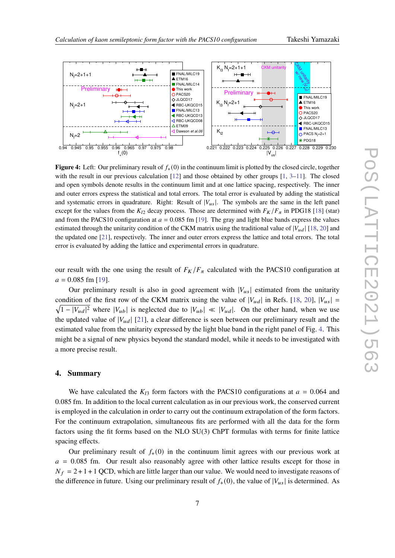



**Figure 4:** Left: Our preliminary result of  $f_+(0)$  in the continuum limit is plotted by the closed circle, together with the result in our previous calculation  $[12]$  and those obtained by other groups  $[1, 3-11]$ . The closed and open symbols denote results in the continuum limit and at one lattice spacing, respectively. The inner and outer errors express the statistical and total errors. The total error is evaluated by adding the statistical and systematic errors in quadrature. Right: Result of  $|V_{\mu s}|$ . The symbols are the same in the left panel except for the values from the  $K_{12}$  decay process. Those are determined with  $F_K/F_{\pi}$  in PDG18 [18] (star) and from the PACS10 configuration at  $a = 0.085$  fm [19]. The gray and light blue bands express the values estimated through the unitarity condition of the CKM matrix using the traditional value of  $|V_{ud}|$  [18, 20] and the updated one [21], respectively. The inner and outer errors express the lattice and total errors. The total error is evaluated by adding the lattice and experimental errors in quadrature.

our result with the one using the result of  $F_K/F_\pi$  calculated with the PACS10 configuration at  $a = 0.085$  fm [19].

Our preliminary result is also in good agreement with  $|V_{us}|$  estimated from the unitarity condition of the first row of the CKM matrix using the value of  $|V_{ud}|$  in Refs. [18, 20],  $|V_{us}|$  =  $1 - |V_{ud}|^2$  where  $|V_{ub}|$  is neglected due to  $|V_{ub}| \ll |V_{ud}|$ . On the other hand, when we use the updated value of  $|V_{ud}|$  [21], a clear difference is seen between our preliminary result and the estimated value from the unitarity expressed by the light blue band in the right panel of Fig. 4. This might be a signal of new physics beyond the standard model, while it needs to be investigated with a more precise result.

#### **4. Summary**

We have calculated the  $K_{13}$  form factors with the PACS10 configurations at  $a = 0.064$  and 0.085 fm. In addition to the local current calculation as in our previous work, the conserved current is employed in the calculation in order to carry out the continuum extrapolation of the form factors. For the continuum extrapolation, simultaneous fits are performed with all the data for the form factors using the fit forms based on the NLO SU(3) ChPT formulas with terms for finite lattice spacing effects.

Our preliminary result of  $f_{+}(0)$  in the continuum limit agrees with our previous work at  $a = 0.085$  fm. Our result also reasonably agree with other lattice results except for those in  $N_f = 2 + 1 + 1$  QCD, which are little larger than our value. We would need to investigate reasons of the difference in future. Using our preliminary result of  $f_+(0)$ , the value of  $|V_{us}|$  is determined. As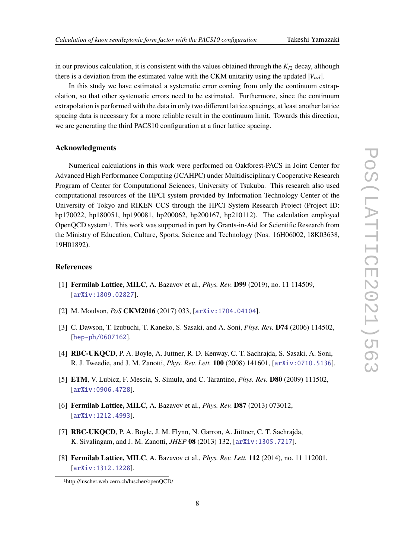in our previous calculation, it is consistent with the values obtained through the  $K_{12}$  decay, although there is a deviation from the estimated value with the CKM unitarity using the updated  $|V_{ud}|$ .

In this study we have estimated a systematic error coming from only the continuum extrapolation, so that other systematic errors need to be estimated. Furthermore, since the continuum extrapolation is performed with the data in only two different lattice spacings, at least another lattice spacing data is necessary for a more reliable result in the continuum limit. Towards this direction, we are generating the third PACS10 configuration at a finer lattice spacing.

#### **Acknowledgments**

Numerical calculations in this work were performed on Oakforest-PACS in Joint Center for Advanced High Performance Computing (JCAHPC) under Multidisciplinary Cooperative Research Program of Center for Computational Sciences, University of Tsukuba. This research also used computational resources of the HPCI system provided by Information Technology Center of the University of Tokyo and RIKEN CCS through the HPCI System Research Project (Project ID: hp170022, hp180051, hp190081, hp200062, hp200167, hp210112). The calculation employed OpenQCD system1. This work was supported in part by Grants-in-Aid for Scientific Research from the Ministry of Education, Culture, Sports, Science and Technology (Nos. 16H06002, 18K03638, 19H01892).

## **References**

- [1] **Fermilab Lattice, MILC**, A. Bazavov et al., *Phys. Rev.* **D99** (2019), no. 11 114509, [arXiv:1809.02827].
- [2] M. Moulson, *PoS* **CKM2016** (2017) 033, [arXiv:1704.04104].
- [3] C. Dawson, T. Izubuchi, T. Kaneko, S. Sasaki, and A. Soni, *Phys. Rev.* **D74** (2006) 114502, [hep-ph/0607162].
- [4] **RBC-UKQCD**, P. A. Boyle, A. Juttner, R. D. Kenway, C. T. Sachrajda, S. Sasaki, A. Soni, R. J. Tweedie, and J. M. Zanotti, *Phys. Rev. Lett.* **100** (2008) 141601, [arXiv:0710.5136].
- [5] **ETM**, V. Lubicz, F. Mescia, S. Simula, and C. Tarantino, *Phys. Rev.* **D80** (2009) 111502, [arXiv:0906.4728].
- [6] **Fermilab Lattice, MILC**, A. Bazavov et al., *Phys. Rev.* **D87** (2013) 073012, [arXiv:1212.4993].
- [7] **RBC-UKQCD**, P. A. Boyle, J. M. Flynn, N. Garron, A. Jüttner, C. T. Sachrajda, K. Sivalingam, and J. M. Zanotti, *JHEP* **08** (2013) 132, [arXiv:1305.7217].
- [8] **Fermilab Lattice, MILC**, A. Bazavov et al., *Phys. Rev. Lett.* **112** (2014), no. 11 112001, [arXiv:1312.1228].

<sup>1</sup>http://luscher.web.cern.ch/luscher/openQCD/